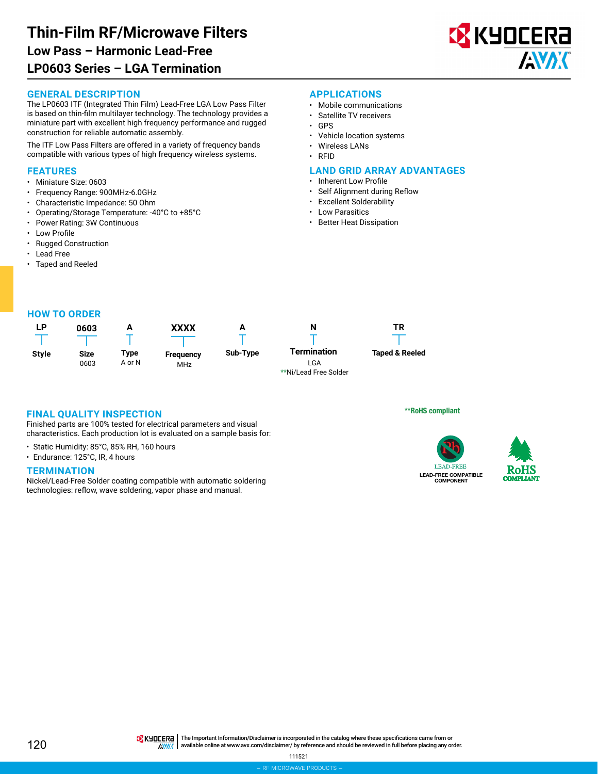

#### **GENERAL DESCRIPTION**

The LP0603 ITF (Integrated Thin Film) Lead-Free LGA Low Pass Filter is based on thin-film multilayer technology. The technology provides a miniature part with excellent high frequency performance and rugged construction for reliable automatic assembly.

The ITF Low Pass Filters are offered in a variety of frequency bands compatible with various types of high frequency wireless systems.

## **FEATURES**

- Miniature Size: 0603
- Frequency Range: 900MHz-6.0GHz
- Characteristic Impedance: 50 Ohm
- Operating/Storage Temperature: -40°C to +85°C
- Power Rating: 3W Continuous
- **Low Profile**
- Rugged Construction
- Lead Free
- Taped and Reeled

## **APPLICATIONS**

- Mobile communications
- Satellite TV receivers
- GPS
- Vehicle location systems
- Wireless LANs
- RFID

#### **LAND GRID ARRAY ADVANTAGES**

- Inherent Low Profile
- Self Alignment during Reflow
- Excellent Solderability
- Low Parasitics
- Better Heat Dissipation





## **FINAL QUALITY INSPECTION**

Finished parts are 100% tested for electrical parameters and visual characteristics. Each production lot is evaluated on a sample basis for:

- Static Humidity: 85°C, 85% RH, 160 hours
- Endurance: 125°C, IR, 4 hours

#### **TERMINATION**

Nickel/Lead-Free Solder coating compatible with automatic soldering technologies: reflow, wave soldering, vapor phase and manual.

\*\*RoHS compliant



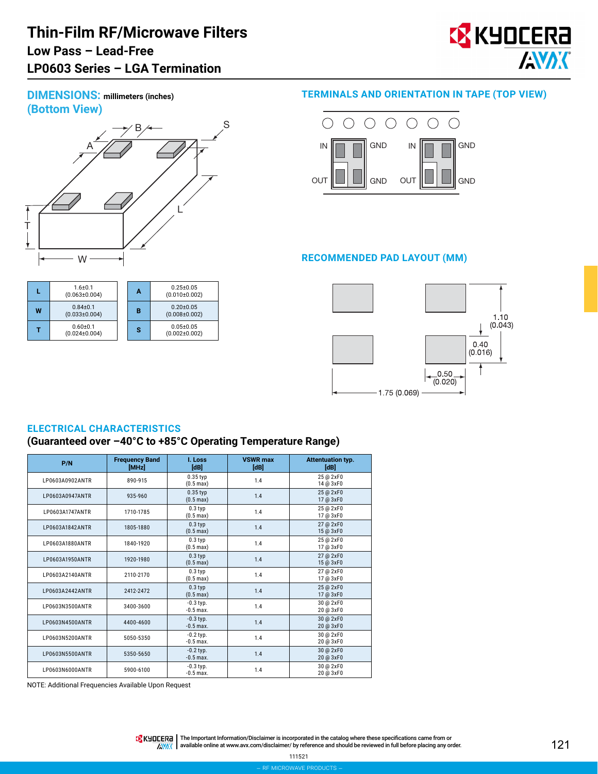# **Thin-Film RF/Microwave Filters LP0603 Series – LGA Termination Low Pass – Lead-Free**



**DIMENSIONS: millimeters (inches) (Bottom View)**



|   | $1.6 + 0.1$<br>$(0.063 \pm 0.004)$  | A | $0.25 + 0.05$<br>(0.010±0.002)         |
|---|-------------------------------------|---|----------------------------------------|
| W | $0.84 + 0.1$<br>$(0.033 \pm 0.004)$ | в | $0.20 \pm 0.05$<br>$(0.008 \pm 0.002)$ |
|   | $0.60 + 0.1$<br>$(0.024 \pm 0.004)$ | s | $0.05 + 0.05$<br>$(0.002 \pm 0.002)$   |

## **TERMINALS AND ORIENTATION IN TAPE (TOP VIEW)**



## **RECOMMENDED PAD LAYOUT (MM)**



## **ELECTRICAL CHARACTERISTICS**

## **(Guaranteed over –40°C to +85°C Operating Temperature Range)**

| P/N             | <b>Frequency Band</b><br>[MHz] | I. Loss<br>[dB]                   | <b>VSWR max</b><br>[dB] | <b>Attentuation typ.</b><br>[dB] |
|-----------------|--------------------------------|-----------------------------------|-------------------------|----------------------------------|
| LP0603A0902ANTR | 890-915                        | $0.35$ typ<br>$(0.5 \text{ max})$ | 1.4                     | 25 @ 2xF0<br>14 @ 3xF0           |
| LP0603A0947ANTR | 935-960                        | $0.35$ typ<br>$(0.5 \text{ max})$ | 1.4                     | 25 @ 2xF0<br>17 @ 3xF0           |
| LP0603A1747ANTR | 1710-1785                      | $0.3$ typ<br>$(0.5 \text{ max})$  | 1.4                     | 25 @ 2xF0<br>17 @ 3xF0           |
| LP0603A1842ANTR | 1805-1880                      | $0.3$ typ<br>$(0.5 \text{ max})$  | 1.4                     | 27 @ 2xF0<br>15 @ 3xF0           |
| LP0603A1880ANTR | 1840-1920                      | $0.3$ typ<br>$(0.5 \text{ max})$  | 1.4                     | 25 @ 2xF0<br>17 @ 3xF0           |
| LP0603A1950ANTR | 1920-1980                      | $0.3$ typ<br>$(0.5 \text{ max})$  | 1.4                     | 27 @ 2xF0<br>15 @ 3xF0           |
| LP0603A2140ANTR | 2110-2170                      | $0.3$ typ<br>$(0.5 \text{ max})$  | 1.4                     | 27 @ 2xF0<br>17 @ 3xF0           |
| LP0603A2442ANTR | 2412-2472                      | $0.3$ typ<br>$(0.5 \text{ max})$  | 1.4                     | 25 @ 2xF0<br>17 @ 3xF0           |
| LP0603N3500ANTR | 3400-3600                      | $-0.3$ typ.<br>$-0.5$ max.        | 1.4                     | 30 @ 2xF0<br>20 @ 3xF0           |
| LP0603N4500ANTR | 4400-4600                      | $-0.3$ typ.<br>$-0.5$ max.        | 1.4                     | 30 @ 2xF0<br>20 @ 3xF0           |
| LP0603N5200ANTR | 5050-5350                      | $-0.2$ typ.<br>$-0.5$ max.        | 1.4                     | 30 @ 2xF0<br>20 @ 3xF0           |
| LP0603N5500ANTR | 5350-5650                      | $-0.2$ typ.<br>$-0.5$ max.        | 1.4                     | 30 @ 2xF0<br>20 @ 3xF0           |
| LP0603N6000ANTR | 5900-6100                      | $-0.3$ typ.<br>$-0.5$ max.        | 1.4                     | 30 @ 2xF0<br>20 @ 3xF0           |

NOTE: Additional Frequencies Available Upon Request

THE IMPORTANT IN The Important Information/Disclaimer is incorporated in the catalog where these specifications came from or AVAX available online at [www.avx.com/disclaimer/](http://www.avx.com/disclaimer/) by reference and should be reviewed in full before placing any order.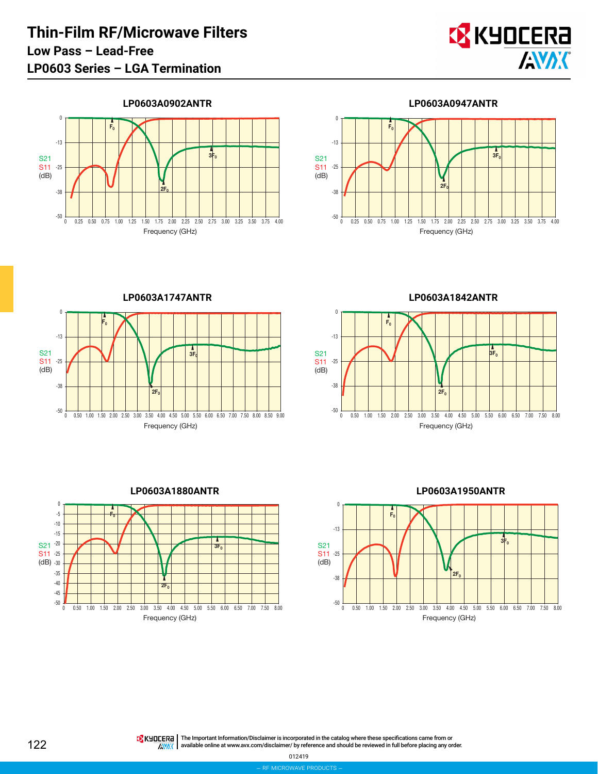

**LP0603A0902ANTR**





**LP0603A1747ANTR** -50 -38 -25 -13  $\pmb{0}$ 0 0.50 1.00 1.50 2.00 2.50 3.00 3.50 4.00 4.50 5.00 5.50 6.00 6.50 7.00 7.50 8.00 8.50 9.00 S21 S11  $(dB)$ Frequency (GHz)  $2F<sub>0</sub>$  $F<sub>0</sub>$  $3F$ 

**LP0603A1842ANTR**





**LP0603A1950ANTR**



The Important Information/Disclaimer is incorporated in the catalog where these specifications came from or available online at [www.avx.com/disclaimer/](http://www.avx.com/disclaimer/) by reference and should be reviewed in full before placing any order.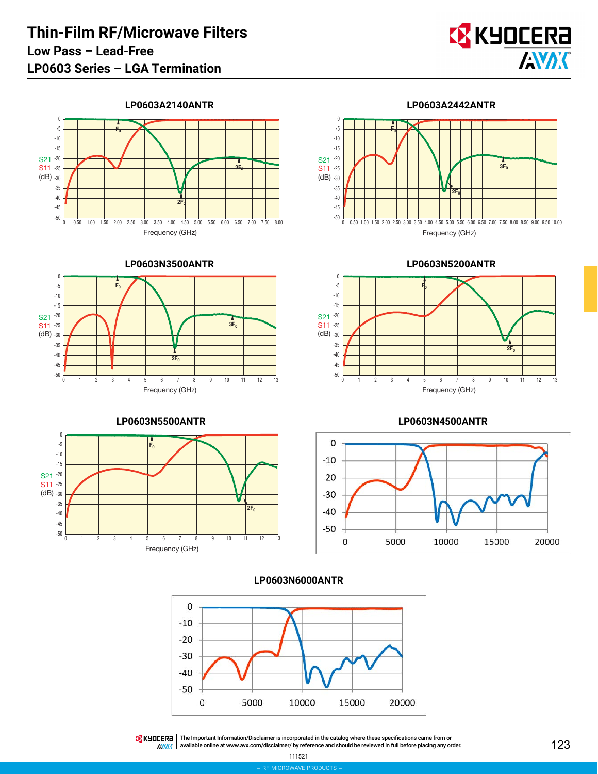

**LP0603A2140ANTR**



**LP0603N3500ANTR**







**LP0603N4500ANTR**









THE IMPORTATION The Important Information/Disclaimer is incorporated in the catalog where these specifications came from or **ANAK** available online at [www.avx.com/disclaimer/](http://www.avx.com/disclaimer/) by reference and should be reviewed in full before placing any order.

111521